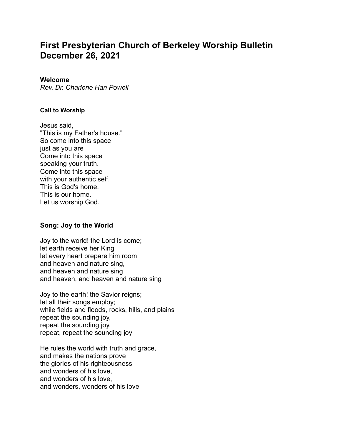# **First Presbyterian Church of Berkeley Worship Bulletin December 26, 2021**

#### **Welcome**

*Rev. Dr. Charlene Han Powell*

#### **Call to Worship**

Jesus said, "This is my Father's house." So come into this space just as you are Come into this space speaking your truth. Come into this space with your authentic self. This is God's home. This is our home. Let us worship God.

# **Song: Joy to the World**

Joy to the world! the Lord is come; let earth receive her King let every heart prepare him room and heaven and nature sing, and heaven and nature sing and heaven, and heaven and nature sing

Joy to the earth! the Savior reigns; let all their songs employ; while fields and floods, rocks, hills, and plains repeat the sounding joy, repeat the sounding joy, repeat, repeat the sounding joy

He rules the world with truth and grace, and makes the nations prove the glories of his righteousness and wonders of his love, and wonders of his love, and wonders, wonders of his love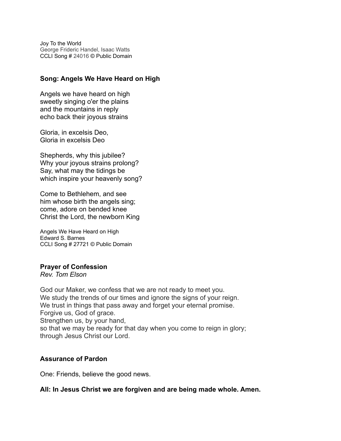Joy To the World George Frideric Handel, Isaac Watts CCLI Song # 24016 © Public Domain

#### **Song: Angels We Have Heard on High**

Angels we have heard on high sweetly singing o'er the plains and the mountains in reply echo back their joyous strains

Gloria, in excelsis Deo, Gloria in excelsis Deo

Shepherds, why this jubilee? Why your joyous strains prolong? Say, what may the tidings be which inspire your heavenly song?

Come to Bethlehem, and see him whose birth the angels sing; come, adore on bended knee Christ the Lord, the newborn King

Angels We Have Heard on High Edward S. Barnes CCLI Song # 27721 © Public Domain

#### **Prayer of Confession**

*Rev. Tom Elson*

God our Maker, we confess that we are not ready to meet you. We study the trends of our times and ignore the signs of your reign. We trust in things that pass away and forget your eternal promise. Forgive us, God of grace. Strengthen us, by your hand, so that we may be ready for that day when you come to reign in glory; through Jesus Christ our Lord.

# **Assurance of Pardon**

One: Friends, believe the good news.

# **All: In Jesus Christ we are forgiven and are being made whole. Amen.**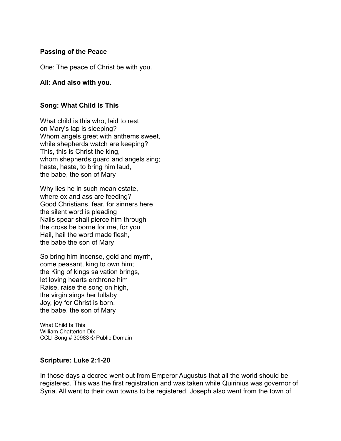# **Passing of the Peace**

One: The peace of Christ be with you.

#### **All: And also with you.**

# **Song: What Child Is This**

What child is this who, laid to rest on Mary's lap is sleeping? Whom angels greet with anthems sweet, while shepherds watch are keeping? This, this is Christ the king, whom shepherds guard and angels sing; haste, haste, to bring him laud, the babe, the son of Mary

Why lies he in such mean estate, where ox and ass are feeding? Good Christians, fear, for sinners here the silent word is pleading Nails spear shall pierce him through the cross be borne for me, for you Hail, hail the word made flesh, the babe the son of Mary

So bring him incense, gold and myrrh, come peasant, king to own him; the King of kings salvation brings, let loving hearts enthrone him Raise, raise the song on high, the virgin sings her lullaby Joy, joy for Christ is born, the babe, the son of Mary

What Child Is This William Chatterton Dix CCLI Song # 30983 © Public Domain

# **Scripture: Luke 2:1-20**

In those days a decree went out from Emperor Augustus that all the world should be registered. This was the first registration and was taken while Quirinius was governor of Syria. All went to their own towns to be registered. Joseph also went from the town of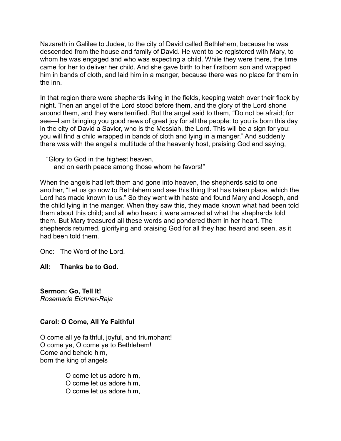Nazareth in Galilee to Judea, to the city of David called Bethlehem, because he was descended from the house and family of David. He went to be registered with Mary, to whom he was engaged and who was expecting a child. While they were there, the time came for her to deliver her child. And she gave birth to her firstborn son and wrapped him in bands of cloth, and laid him in a manger, because there was no place for them in the inn.

In that region there were shepherds living in the fields, keeping watch over their flock by night. Then an angel of the Lord stood before them, and the glory of the Lord shone around them, and they were terrified. But the angel said to them, "Do not be afraid; for see—I am bringing you good news of great joy for all the people: to you is born this day in the city of David a Savior, who is the Messiah, the Lord. This will be a sign for you: you will find a child wrapped in bands of cloth and lying in a manger." And suddenly there was with the angel a multitude of the heavenly host, praising God and saying,

"Glory to God in the highest heaven, and on earth peace among those whom he favors!"

When the angels had left them and gone into heaven, the shepherds said to one another, "Let us go now to Bethlehem and see this thing that has taken place, which the Lord has made known to us." So they went with haste and found Mary and Joseph, and the child lying in the manger. When they saw this, they made known what had been told them about this child; and all who heard it were amazed at what the shepherds told them. But Mary treasured all these words and pondered them in her heart. The shepherds returned, glorifying and praising God for all they had heard and seen, as it had been told them.

One: The Word of the Lord.

**All: Thanks be to God.**

**Sermon: Go, Tell It!** *Rosemarie Eichner-Raja*

# **Carol: O Come, All Ye Faithful**

O come all ye faithful, joyful, and triumphant! O come ye, O come ye to Bethlehem! Come and behold him, born the king of angels

> O come let us adore him, O come let us adore him, O come let us adore him,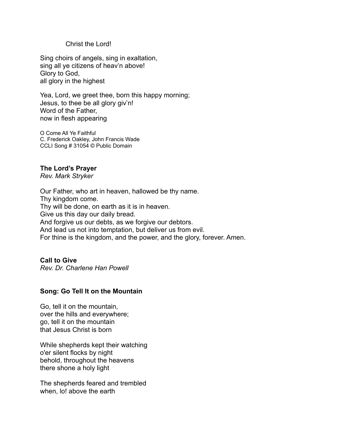#### Christ the Lord!

Sing choirs of angels, sing in exaltation, sing all ye citizens of heav'n above! Glory to God, all glory in the highest

Yea, Lord, we greet thee, born this happy morning; Jesus, to thee be all glory giv'n! Word of the Father, now in flesh appearing

O Come All Ye Faithful C. Frederick Oakley, John Francis Wade CCLI Song # 31054 © Public Domain

#### **The Lord's Prayer**

*Rev. Mark Stryker*

Our Father, who art in heaven, hallowed be thy name. Thy kingdom come. Thy will be done, on earth as it is in heaven. Give us this day our daily bread. And forgive us our debts, as we forgive our debtors. And lead us not into temptation, but deliver us from evil. For thine is the kingdom, and the power, and the glory, forever. Amen.

# **Call to Give**

*Rev. Dr. Charlene Han Powell*

# **Song: Go Tell It on the Mountain**

Go, tell it on the mountain, over the hills and everywhere; go, tell it on the mountain that Jesus Christ is born

While shepherds kept their watching o'er silent flocks by night behold, throughout the heavens there shone a holy light

The shepherds feared and trembled when, lo! above the earth